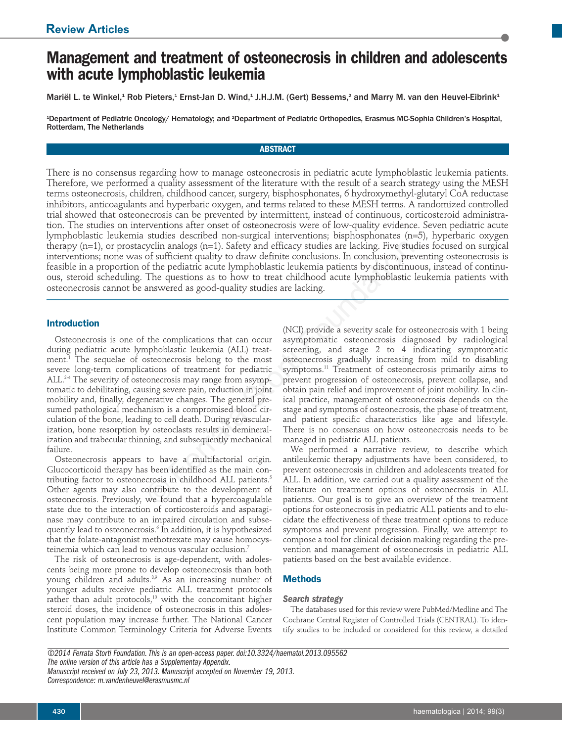# **Management and treatment of osteonecrosis in children and adolescents with acute lymphoblastic leukemia**

Mariël L. te Winkel,<sup>1</sup> Rob Pieters,<sup>1</sup> Ernst-Jan D. Wind,<sup>1</sup> J.H.J.M. (Gert) Bessems,<sup>2</sup> and Marry M. van den Heuvel-Eibrink<sup>1</sup>

1 Department of Pediatric Oncology/ Hematology; and 2 Department of Pediatric Orthopedics, Erasmus MC-Sophia Children's Hospital, Rotterdam, The Netherlands

## **ABSTRACT**

There is no consensus regarding how to manage osteonecrosis in pediatric acute lymphoblastic leukemia patients. Therefore, we performed a quality assessment of the literature with the result of a search strategy using the MESH terms osteonecrosis, children, childhood cancer, surgery, bisphosphonates, 6 hydroxymethyl-glutaryl CoA reductase inhibitors, anticoagulants and hyperbaric oxygen, and terms related to these MESH terms. A randomized controlled trial showed that osteonecrosis can be prevented by intermittent, instead of continuous, corticosteroid administration. The studies on interventions after onset of osteonecrosis were of low-quality evidence. Seven pediatric acute lymphoblastic leukemia studies described non-surgical interventions; bisphosphonates (n=5), hyperbaric oxygen therapy (n=1), or prostacyclin analogs (n=1). Safety and efficacy studies are lacking. Five studies focused on surgical interventions; none was of sufficient quality to draw definite conclusions. In conclusion, preventing osteonecrosis is feasible in a proportion of the pediatric acute lymphoblastic leukemia patients by discontinuous, instead of continuous, steroid scheduling. The questions as to how to treat childhood acute lymphoblastic leukemia patients with osteonecrosis cannot be answered as good-quality studies are lacking.

## **Introduction**

Osteonecrosis is one of the complications that can occur during pediatric acute lymphoblastic leukemia (ALL) treatment.<sup>1</sup> The sequelae of osteonecrosis belong to the most severe long-term complications of treatment for pediatric ALL.<sup>2-4</sup> The severity of osteonecrosis may range from asymptomatic to debilitating, causing severe pain, reduction in joint mobility and, finally, degenerative changes. The general presumed pathological mechanism is a compromised blood circulation of the bone, leading to cell death. During revascularization, bone resorption by osteoclasts results in demineralization and trabecular thinning, and subsequently mechanical failure.

Osteonecrosis appears to have a multifactorial origin. Glucocorticoid therapy has been identified as the main contributing factor to osteonecrosis in childhood ALL patients.<sup>5</sup> Other agents may also contribute to the development of osteonecrosis. Previously, we found that a hypercoagulable state due to the interaction of corticosteroids and asparaginase may contribute to an impaired circulation and subsequently lead to osteonecrosis.<sup>6</sup> In addition, it is hypothesized that the folate-antagonist methotrexate may cause homocysteinemia which can lead to venous vascular occlusion.<sup>7</sup>

The risk of osteonecrosis is age-dependent, with adolescents being more prone to develop osteonecrosis than both young children and adults.<sup>8,9</sup> As an increasing number of younger adults receive pediatric ALL treatment protocols rather than adult protocols,<sup>10</sup> with the concomitant higher steroid doses, the incidence of osteonecrosis in this adolescent population may increase further. The National Cancer Institute Common Terminology Criteria for Adverse Events

(NCI) provide a severity scale for osteonecrosis with 1 being asymptomatic osteonecrosis diagnosed by radiological screening, and stage 2 to 4 indicating symptomatic osteonecrosis gradually increasing from mild to disabling symptoms.<sup>11</sup> Treatment of osteonecrosis primarily aims to prevent progression of osteonecrosis, prevent collapse, and obtain pain relief and improvement of joint mobility. In clinical practice, management of osteonecrosis depends on the stage and symptoms of osteonecrosis, the phase of treatment, and patient specific characteristics like age and lifestyle. There is no consensus on how osteonecrosis needs to be managed in pediatric ALL patients. cyclin analogs (n=1). Safety and efficacy studies are lacking. Five student fuglity to draw definite conclusions. In conclusion, pref<br>of strifficient quality to draw definite conclusions. In conclusion, pref<br>The questions

We performed a narrative review, to describe which antileukemic therapy adjustments have been considered, to prevent osteonecrosis in children and adolescents treated for ALL. In addition, we carried out a quality assessment of the literature on treatment options of osteonecrosis in ALL patients. Our goal is to give an overview of the treatment options for osteonecrosis in pediatric ALL patients and to elucidate the effectiveness of these treatment options to reduce symptoms and prevent progression. Finally, we attempt to compose a tool for clinical decision making regarding the prevention and management of osteonecrosis in pediatric ALL patients based on the best available evidence.

## **Methods**

## *Search strategy*

The databases used for this review were PubMed/Medline and The Cochrane Central Register of Controlled Trials (CENTRAL). To identify studies to be included or considered for this review, a detailed

*©2014 Ferrata Storti Foundation. This is an open-access paper. doi:10.3324/haematol.2013.095562 The online version of this article has a Supplementay Appendix. Manuscript received on July 23, 2013. Manuscript accepted on November 19, 2013. Correspondence: m.vandenheuvel@erasmusmc.nl*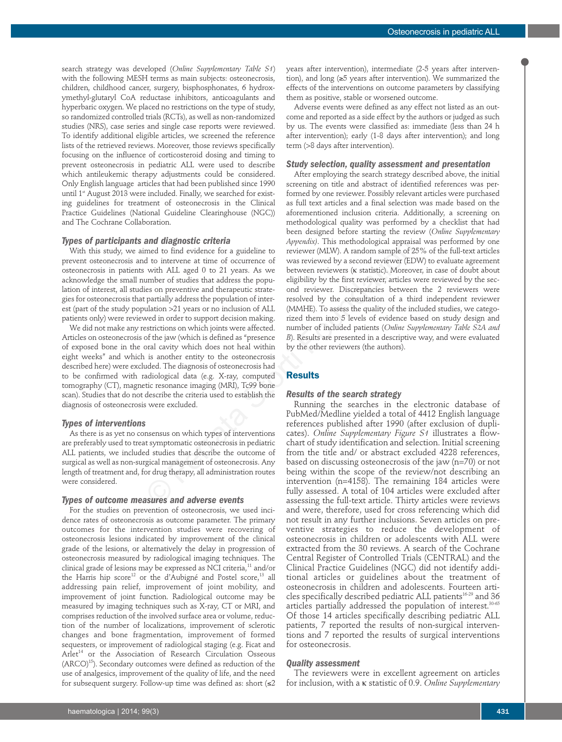search strategy was developed (*Online Supplementary Table S1*) with the following MESH terms as main subjects: osteonecrosis, children, childhood cancer, surgery, bisphosphonates, 6 hydroxymethyl-glutaryl CoA reductase inhibitors, anticoagulants and hyperbaric oxygen. We placed no restrictions on the type of study, so randomized controlled trials (RCTs), as well as non-randomized studies (NRS), case series and single case reports were reviewed. To identify additional eligible articles, we screened the reference lists of the retrieved reviews. Moreover, those reviews specifically focusing on the influence of corticosteroid dosing and timing to prevent osteonecrosis in pediatric ALL were used to describe which antileukemic therapy adjustments could be considered. Only English language articles that had been published since 1990 until 1<sup>st</sup> August 2013 were included. Finally, we searched for existing guidelines for treatment of osteonecrosis in the Clinical Practice Guidelines (National Guideline Clearinghouse (NGC)) and The Cochrane Collaboration.

## *Types of participants and diagnostic criteria*

With this study, we aimed to find evidence for a guideline to prevent osteonecrosis and to intervene at time of occurrence of osteonecrosis in patients with ALL aged 0 to 21 years. As we acknowledge the small number of studies that address the population of interest, all studies on preventive and therapeutic strategies for osteonecrosis that partially address the population of interest (part of the study population >21 years or no inclusion of ALL patients only) were reviewed in order to support decision making.

We did not make any restrictions on which joints were affected. Articles on osteonecrosis of the jaw (which is defined as "presence of exposed bone in the oral cavity which does not heal within eight weeks" and which is another entity to the osteonecrosis described here) were excluded. The diagnosis of osteonecrosis had to be confirmed with radiological data (e.g. X-ray, computed tomography (CT), magnetic resonance imaging (MRI), Tc99 bone scan). Studies that do not describe the criteria used to establish the diagnosis of osteonecrosis were excluded.

#### *Types of interventions*

As there is as yet no consensus on which types of interventions are preferably used to treat symptomatic osteonecrosis in pediatric ALL patients, we included studies that describe the outcome of surgical as well as non-surgical management of osteonecrosis. Any length of treatment and, for drug therapy, all administration routes were considered.

## *Types of outcome measures and adverse events*

For the studies on prevention of osteonecrosis, we used incidence rates of osteonecrosis as outcome parameter. The primary outcomes for the intervention studies were recovering of osteonecrosis lesions indicated by improvement of the clinical grade of the lesions, or alternatively the delay in progression of osteonecrosis measured by radiological imaging techniques. The clinical grade of lesions may be expressed as NCI criteria,<sup>11</sup> and/or the Harris hip score<sup>12</sup> or the d'Aubigné and Postel score,<sup>13</sup> all addressing pain relief, improvement of joint mobility, and improvement of joint function. Radiological outcome may be measured by imaging techniques such as X-ray, CT or MRI, and comprises reduction of the involved surface area or volume, reduction of the number of localizations, improvement of sclerotic changes and bone fragmentation, improvement of formed sequesters, or improvement of radiological staging (e.g. Ficat and Arlet<sup>14</sup> or the Association of Research Circulation Osseous  $(ARCO)^{15}$ ). Secondary outcomes were defined as reduction of the use of analgesics, improvement of the quality of life, and the need for subsequent surgery. Follow-up time was defined as: short  $\leq 2$ 

years after intervention), intermediate (2-5 years after intervention), and long (≥5 years after intervention). We summarized the effects of the interventions on outcome parameters by classifying them as positive, stable or worsened outcome.

Adverse events were defined as any effect not listed as an outcome and reported as a side effect by the authors or judged as such by us. The events were classified as: immediate (less than 24 h after intervention); early (1-8 days after intervention); and long term (>8 days after intervention).

## *Study selection, quality assessment and presentation*

After employing the search strategy described above, the initial screening on title and abstract of identified references was performed by one reviewer. Possibly relevant articles were purchased as full text articles and a final selection was made based on the aforementioned inclusion criteria. Additionally, a screening on methodological quality was performed by a checklist that had been designed before starting the review (*Online Supplementary Appendix)*. This methodological appraisal was performed by one reviewer (MLW). A random sample of 25% of the full-text articles was reviewed by a second reviewer (EDW) to evaluate agreement between reviewers (κ statistic). Moreover, in case of doubt about eligibility by the first reviewer, articles were reviewed by the second reviewer. Discrepancies between the 2 reviewers were resolved by the consultation of a third independent reviewer (MMHE). To assess the quality of the included studies, we categorized them into 5 levels of evidence based on study design and number of included patients (*Online Supplementary Table S2A and B*). Results are presented in a descriptive way, and were evaluated by the other reviewers (the authors). and unagy<br>not criterial expendix. This methoodological appraising the same<br>deviation for the criterial end of the intervent at time of occurrence of was reviewed by a second reviewer (ED<br>with ALI aged 0 to 21 years. As we

## **Results**

#### *Results of the search strategy*

Running the searches in the electronic database of PubMed/Medline yielded a total of 4412 English language references published after 1990 (after exclusion of duplicates). *Online Supplementary Figure S1* illustrates a flowchart of study identification and selection. Initial screening from the title and/ or abstract excluded 4228 references, based on discussing osteonecrosis of the jaw (n=70) or not being within the scope of the review/not describing an intervention (n=4158). The remaining 184 articles were fully assessed. A total of 104 articles were excluded after assessing the full-text article. Thirty articles were reviews and were, therefore, used for cross referencing which did not result in any further inclusions. Seven articles on preventive strategies to reduce the development of osteonecrosis in children or adolescents with ALL were extracted from the 30 reviews. A search of the Cochrane Central Register of Controlled Trials (CENTRAL) and the Clinical Practice Guidelines (NGC) did not identify additional articles or guidelines about the treatment of osteonecrosis in children and adolescents. Fourteen articles specifically described pediatric ALL patients<sup>16-29</sup> and 36 articles partially addressed the population of interest.<sup>30-65</sup> Of those 14 articles specifically describing pediatric ALL patients, 7 reported the results of non-surgical interventions and 7 reported the results of surgical interventions for osteonecrosis.

## *Quality assessment*

The reviewers were in excellent agreement on articles for inclusion, with a κ statistic of 0.9. *Online Supplementary*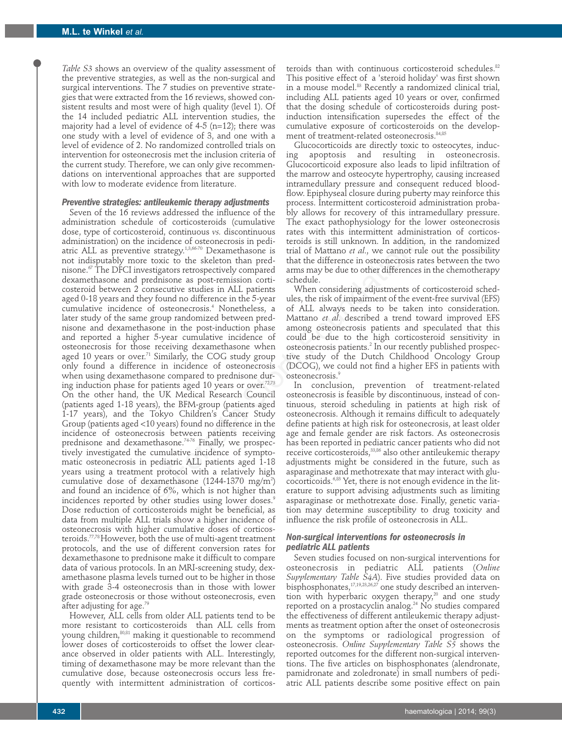*Table S3* shows an overview of the quality assessment of the preventive strategies, as well as the non-surgical and surgical interventions. The 7 studies on preventive strategies that were extracted from the 16 reviews, showed consistent results and most were of high quality (level 1). Of the 14 included pediatric ALL intervention studies, the majority had a level of evidence of 4-5 (n=12); there was one study with a level of evidence of 3, and one with a level of evidence of 2. No randomized controlled trials on intervention for osteonecrosis met the inclusion criteria of the current study. Therefore, we can only give recommendations on interventional approaches that are supported with low to moderate evidence from literature.

## *Preventive strategies: antileukemic therapy adjustments*

Seven of the 16 reviews addressed the influence of the administration schedule of corticosteroids (cumulative dose, type of corticosteroid, continuous *vs.* discontinuous administration) on the incidence of osteonecrosis in pediatric ALL as preventive strategy.<sup>1,3,66-70</sup> Dexamethasone is not indisputably more toxic to the skeleton than prednisone.<sup>67</sup> The DFCI investigators retrospectively compared dexamethasone and prednisone as post-remission corticosteroid between 2 consecutive studies in ALL patients aged 0-18 years and they found no difference in the 5-year cumulative incidence of osteonecrosis.4 Nonetheless, a later study of the same group randomized between prednisone and dexamethasone in the post-induction phase and reported a higher 5-year cumulative incidence of osteonecrosis for those receiving dexamethasone when aged 10 years or over.<sup>71</sup> Similarly, the COG study group only found a difference in incidence of osteonecrosis when using dexamethasone compared to prednisone during induction phase for patients aged 10 years or over.<sup>72,73</sup> On the other hand, the UK Medical Research Council (patients aged 1-18 years), the BFM-group (patients aged 1-17 years), and the Tokyo Children's Cancer Study Group (patients aged <10 years) found no difference in the incidence of osteonecrosis between patients receiving prednisone and dexamethasone.<sup>74-76</sup> Finally, we prospectively investigated the cumulative incidence of symptomatic osteonecrosis in pediatric ALL patients aged 1-18 years using a treatment protocol with a relatively high cumulative dose of dexamethasone (1244-1370 mg/m $^2\,)$ and found an incidence of 6%, which is not higher than incidences reported by other studies using lower doses.<sup>9</sup> Dose reduction of corticosteroids might be beneficial, as data from multiple ALL trials show a higher incidence of osteonecrosis with higher cumulative doses of corticosteroids.77,78 However, both the use of multi-agent treatment protocols, and the use of different conversion rates for dexamethasone to prednisone make it difficult to compare data of various protocols. In an MRI-screening study, dexamethasone plasma levels turned out to be higher in those with grade 3-4 osteonecrosis than in those with lower grade osteonecrosis or those without osteonecrosis, even after adjusting for age.<sup>79</sup> indentice of osteomerosis in peati-<br>renotates and unknown. In additionary and the reduces of stategy, the<br>set stategy, the secretively compared arms may be due to other difference<br>fersigntary retrogenceively compared arms

However, ALL cells from older ALL patients tend to be more resistant to corticosteroids than ALL cells from young children,<sup>80,81</sup> making it questionable to recommend lower doses of corticosteroids to offset the lower clearance observed in older patients with ALL. Interestingly, timing of dexamethasone may be more relevant than the cumulative dose, because osteonecrosis occurs less frequently with intermittent administration of corticos-

teroids than with continuous corticosteroid schedules.<sup>82</sup> This positive effect of a 'steroid holiday' was first shown in a mouse model.<sup>83</sup> Recently a randomized clinical trial, including ALL patients aged 10 years or over, confirmed that the dosing schedule of corticosteroids during postinduction intensification supersedes the effect of the cumulative exposure of corticosteroids on the development of treatment-related osteonecrosis.<sup>84,85</sup>

Glucocorticoids are directly toxic to osteocytes, inducing apoptosis and resulting in osteonecrosis. Glucocorticoid exposure also leads to lipid infiltration of the marrow and osteocyte hypertrophy, causing increased intramedullary pressure and consequent reduced bloodflow. Epiphyseal closure during puberty may reinforce this process. Intermittent corticosteroid administration probably allows for recovery of this intramedullary pressure. The exact pathophysiology for the lower osteonecrosis rates with this intermittent administration of corticosteroids is still unknown. In addition, in the randomized trial of Mattano *et al*., we cannot rule out the possibility that the difference in osteonecrosis rates between the two arms may be due to other differences in the chemotherapy schedule.

When considering adjustments of corticosteroid schedules, the risk of impairment of the event-free survival (EFS) of ALL always needs to be taken into consideration. Mattano *et al*. described a trend toward improved EFS among osteonecrosis patients and speculated that this could be due to the high corticosteroid sensitivity in osteonecrosis patients.<sup>2</sup> In our recently published prospective study of the Dutch Childhood Oncology Group (DCOG), we could not find a higher EFS in patients with osteonecrosis.<sup>9</sup>

In conclusion, prevention of treatment-related osteonecrosis is feasible by discontinuous, instead of continuous, steroid scheduling in patients at high risk of osteonecrosis. Although it remains difficult to adequately define patients at high risk for osteonecrosis, at least older age and female gender are risk factors. As osteonecrosis has been reported in pediatric cancer patients who did not receive corticosteroids,<sup>33,86</sup> also other antileukemic therapy adjustments might be considered in the future, such as asparaginase and methotrexate that may interact with glucocorticoids.6,83 Yet, there is not enough evidence in the literature to support advising adjustments such as limiting asparaginase or methotrexate dose. Finally, genetic variation may determine susceptibility to drug toxicity and influence the risk profile of osteonecrosis in ALL.

## *Non-surgical interventions for osteonecrosis in pediatric ALL patients*

Seven studies focused on non-surgical interventions for osteonecrosis in pediatric ALL patients (*Online Supplementary Table S4A*). Five studies provided data on bisphosphonates,<sup>17,19,23,26,27</sup> one study described an intervention with hyperbaric oxygen therapy,<sup>20</sup> and one study reported on a prostacyclin analog.<sup>24</sup> No studies compared the effectiveness of different antileukemic therapy adjustments as treatment option after the onset of osteonecrosis on the symptoms or radiological progression of osteonecrosis. *Online Supplementary Table S5* shows the reported outcomes for the different non-surgical interventions. The five articles on bisphosphonates (alendronate, pamidronate and zoledronate) in small numbers of pediatric ALL patients describe some positive effect on pain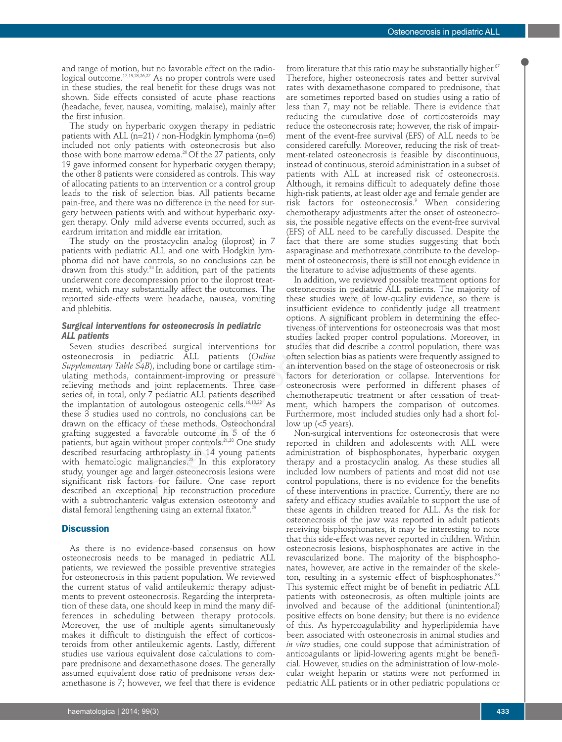and range of motion, but no favorable effect on the radiological outcome.<sup>17,19,25,26,27</sup> As no proper controls were used in these studies, the real benefit for these drugs was not shown. Side effects consisted of acute phase reactions (headache, fever, nausea, vomiting, malaise), mainly after the first infusion.

The study on hyperbaric oxygen therapy in pediatric patients with ALL (n=21) / non-Hodgkin lymphoma (n=6) included not only patients with osteonecrosis but also those with bone marrow edema.<sup>20</sup> Of the 27 patients, only 19 gave informed consent for hyperbaric oxygen therapy; the other 8 patients were considered as controls. This way of allocating patients to an intervention or a control group leads to the risk of selection bias. All patients became pain-free, and there was no difference in the need for surgery between patients with and without hyperbaric oxygen therapy. Only mild adverse events occurred, such as eardrum irritation and middle ear irritation.

The study on the prostacyclin analog (iloprost) in 7 patients with pediatric ALL and one with Hodgkin lymphoma did not have controls, so no conclusions can be drawn from this study.24 In addition, part of the patients underwent core decompression prior to the iloprost treatment, which may substantially affect the outcomes. The reported side-effects were headache, nausea, vomiting and phlebitis.

## *Surgical interventions for osteonecrosis in pediatric ALL patients*

Seven studies described surgical interventions for osteonecrosis in pediatric ALL patients (*Online Supplementary Table S4B*), including bone or cartilage stimulating methods, containment-improving or pressure relieving methods and joint replacements. Three case series of, in total, only 7 pediatric ALL patients described the implantation of autologous osteogenic cells.<sup>16,18,22</sup> As these 3 studies used no controls, no conclusions can be drawn on the efficacy of these methods. Osteochondral grafting suggested a favorable outcome in 5 of the 6 patients, but again without proper controls.<sup>21,28</sup> One study described resurfacing arthroplasty in 14 young patients with hematologic malignancies.<sup>25</sup> In this exploratory study, younger age and larger osteonecrosis lesions were significant risk factors for failure. One case report described an exceptional hip reconstruction procedure with a subtrochanteric valgus extension osteotomy and distal femoral lengthening using an external fixator.<sup>29</sup> prostacyclini analog (uoprost) in / tact that there are some studies<br>  $x^8$ -HL and one with Hodgkin lym-<br>
asparaginase and methotreate cor<br>
controls, so no conclusions can be ment of osteonecrosis, there is still<br>  $x^8$ -H

## **Discussion**

As there is no evidence-based consensus on how osteonecrosis needs to be managed in pediatric ALL patients, we reviewed the possible preventive strategies for osteonecrosis in this patient population. We reviewed the current status of valid antileukemic therapy adjustments to prevent osteonecrosis. Regarding the interpretation of these data, one should keep in mind the many differences in scheduling between therapy protocols. Moreover, the use of multiple agents simultaneously makes it difficult to distinguish the effect of corticosteroids from other antileukemic agents. Lastly, different studies use various equivalent dose calculations to compare prednisone and dexamethasone doses. The generally assumed equivalent dose ratio of prednisone *versus* dexamethasone is 7; however, we feel that there is evidence

from literature that this ratio may be substantially higher. $87$ Therefore, higher osteonecrosis rates and better survival rates with dexamethasone compared to prednisone, that are sometimes reported based on studies using a ratio of less than 7, may not be reliable. There is evidence that reducing the cumulative dose of corticosteroids may reduce the osteonecrosis rate; however, the risk of impairment of the event-free survival (EFS) of ALL needs to be considered carefully. Moreover, reducing the risk of treatment-related osteonecrosis is feasible by discontinuous, instead of continuous, steroid administration in a subset of patients with ALL at increased risk of osteonecrosis. Although, it remains difficult to adequately define those high-risk patients, at least older age and female gender are risk factors for osteonecrosis.9 When considering chemotherapy adjustments after the onset of osteonecrosis, the possible negative effects on the event-free survival (EFS) of ALL need to be carefully discussed. Despite the fact that there are some studies suggesting that both asparaginase and methotrexate contribute to the development of osteonecrosis, there is still not enough evidence in the literature to advise adjustments of these agents.

In addition, we reviewed possible treatment options for osteonecrosis in pediatric ALL patients. The majority of these studies were of low-quality evidence, so there is insufficient evidence to confidently judge all treatment options. A significant problem in determining the effectiveness of interventions for osteonecrosis was that most studies lacked proper control populations. Moreover, in studies that did describe a control population, there was often selection bias as patients were frequently assigned to an intervention based on the stage of osteonecrosis or risk factors for deterioration or collapse. Interventions for osteonecrosis were performed in different phases of chemotherapeutic treatment or after cessation of treatment, which hampers the comparison of outcomes. Furthermore, most included studies only had a short follow up  $\left\langle 5 \right\rangle$  years).

Non-surgical interventions for osteonecrosis that were reported in children and adolescents with ALL were administration of bisphosphonates, hyperbaric oxygen therapy and a prostacyclin analog. As these studies all included low numbers of patients and most did not use control populations, there is no evidence for the benefits of these interventions in practice. Currently, there are no safety and efficacy studies available to support the use of these agents in children treated for ALL. As the risk for osteonecrosis of the jaw was reported in adult patients receiving bisphosphonates, it may be interesting to note that this side-effect was never reported in children. Within osteonecrosis lesions, bisphosphonates are active in the revascularized bone. The majority of the bisphosphonates, however, are active in the remainder of the skeleton, resulting in a systemic effect of bisphosphonates.<sup>88</sup> This systemic effect might be of benefit in pediatric ALL patients with osteonecrosis, as often multiple joints are involved and because of the additional (unintentional) positive effects on bone density; but there is no evidence of this. As hypercoagulability and hyperlipidemia have been associated with osteonecrosis in animal studies and *in vitro* studies, one could suppose that administration of anticoagulants or lipid-lowering agents might be beneficial. However, studies on the administration of low-molecular weight heparin or statins were not performed in pediatric ALL patients or in other pediatric populations or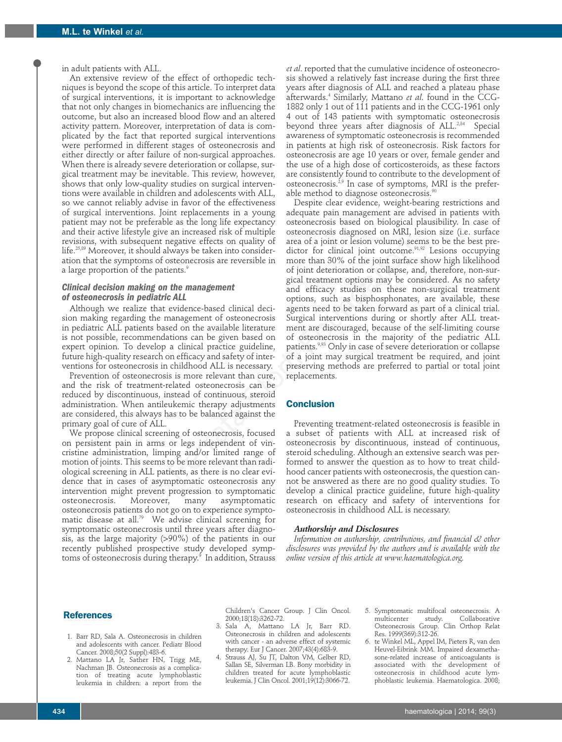in adult patients with ALL.

An extensive review of the effect of orthopedic techniques is beyond the scope of this article. To interpret data of surgical interventions, it is important to acknowledge that not only changes in biomechanics are influencing the outcome, but also an increased blood flow and an altered activity pattern. Moreover, interpretation of data is complicated by the fact that reported surgical interventions were performed in different stages of osteonecrosis and either directly or after failure of non-surgical approaches. When there is already severe deterioration or collapse, surgical treatment may be inevitable. This review, however, shows that only low-quality studies on surgical interventions were available in children and adolescents with ALL, so we cannot reliably advise in favor of the effectiveness of surgical interventions. Joint replacements in a young patient may not be preferable as the long life expectancy and their active lifestyle give an increased risk of multiple revisions, with subsequent negative effects on quality of life.25,89 Moreover, it should always be taken into consideration that the symptoms of osteonecrosis are reversible in a large proportion of the patients.<sup>9</sup>

## *Clinical decision making on the management of osteonecrosis in pediatric ALL*

Although we realize that evidence-based clinical decision making regarding the management of osteonecrosis in pediatric ALL patients based on the available literature is not possible, recommendations can be given based on expert opinion. To develop a clinical practice guideline, future high-quality research on efficacy and safety of interventions for osteonecrosis in childhood ALL is necessary.

Prevention of osteonecrosis is more relevant than cure, and the risk of treatment-related osteonecrosis can be reduced by discontinuous, instead of continuous, steroid administration. When antileukemic therapy adjustments are considered, this always has to be balanced against the primary goal of cure of ALL.

We propose clinical screening of osteonecrosis, focused on persistent pain in arms or legs independent of vincristine administration, limping and/or limited range of motion of joints. This seems to be more relevant than radiological screening in ALL patients, as there is no clear evidence that in cases of asymptomatic osteonecrosis any intervention might prevent progression to symptomatic osteonecrosis. Moreover, many asymptomatic osteonecrosis patients do not go on to experience symptomatic disease at all.<sup>79</sup> We advise clinical screening for symptomatic osteonecrosis until three years after diagnosis, as the large majority (>90%) of the patients in our recently published prospective study developed symptoms of osteonecrosis during therapy.<sup>9</sup> In addition, Strauss

*et al*. reported that the cumulative incidence of osteonecrosis showed a relatively fast increase during the first three years after diagnosis of ALL and reached a plateau phase afterwards.4 Similarly, Mattano *et al*. found in the CCG-1882 only 1 out of 111 patients and in the CCG-1961 only 4 out of 143 patients with symptomatic osteonecrosis beyond three years after diagnosis of ALL.<sup>2,84</sup> Special awareness of symptomatic osteonecrosis is recommended in patients at high risk of osteonecrosis. Risk factors for osteonecrosis are age 10 years or over, female gender and the use of a high dose of corticosteroids, as these factors are consistently found to contribute to the development of osteonecrosis.2,9 In case of symptoms, MRI is the preferable method to diagnose osteonecrosis.<sup>90</sup>

Despite clear evidence, weight-bearing restrictions and adequate pain management are advised in patients with osteonecrosis based on biological plausibility. In case of osteonecrosis diagnosed on MRI, lesion size (i.e. surface area of a joint or lesion volume) seems to be the best predictor for clinical joint outcome.<sup>91,92</sup> Lesions occupying more than 30% of the joint surface show high likelihood of joint deterioration or collapse, and, therefore, non-surgical treatment options may be considered. As no safety and efficacy studies on these non-surgical treatment options, such as bisphosphonates, are available, these agents need to be taken forward as part of a clinical trial. Surgical interventions during or shortly after ALL treatment are discouraged, because of the self-limiting course of osteonecrosis in the majority of the pediatric ALL patients.<sup>9,93</sup> Only in case of severe deterioration or collapse of a joint may surgical treatment be required, and joint preserving methods are preferred to partial or total joint replacements. putent regative effects on quality of area or a joint or lesson volume) see<br>taken into consider-<br>and of a joint duration or any consider dictor for clinical joint surface<br>he patients.<sup>3</sup> of the joint duration or collapse,

## **Conclusion**

Preventing treatment-related osteonecrosis is feasible in a subset of patients with ALL at increased risk of osteonecrosis by discontinuous, instead of continuous, steroid scheduling. Although an extensive search was performed to answer the question as to how to treat childhood cancer patients with osteonecrosis, the question cannot be answered as there are no good quality studies. To develop a clinical practice guideline, future high-quality research on efficacy and safety of interventions for osteonecrosis in childhood ALL is necessary.

#### *Authorship and Disclosures*

*Information on authorship, contributions, and financial & other disclosures was provided by the authors and is available with the online version of this article at www.haematologica.org.*

## **References**

- 1. Barr RD, Sala A. Osteonecrosis in children and adolescents with cancer. Pediatr Blood Cancer. 2008;50(2 Suppl):483-6.
- 2. Mattano LA Jr, Sather HN, Trigg ME, Nachman JB. Osteonecrosis as a complication of treating acute lymphoblastic leukemia in children: a report from the

Children's Cancer Group. J Clin Oncol. 2000;18(18):3262-72.

- 3. Sala A, Mattano LA Jr, Barr RD. Osteonecrosis in children and adolescents with cancer - an adverse effect of systemic therapy. Eur J Cancer. 2007;43(4):683-9.
- 4. Strauss AJ, Su JT, Dalton VM, Gelber RD, Sallan SE, Silverman LB. Bony morbidity in children treated for acute lymphoblastic leukemia. J Clin Oncol. 2001;19(12):3066-72.
- 5. Symptomatic multifocal osteonecrosis. A Collaborative Osteonecrosis Group. Clin Orthop Relat Res. 1999(369):312-26.
- 6. te Winkel ML, Appel IM, Pieters R, van den Heuvel-Eibrink MM. Impaired dexamethasone-related increase of anticoagulants is associated with the development of osteonecrosis in childhood acute lymphoblastic leukemia. Haematologica. 2008;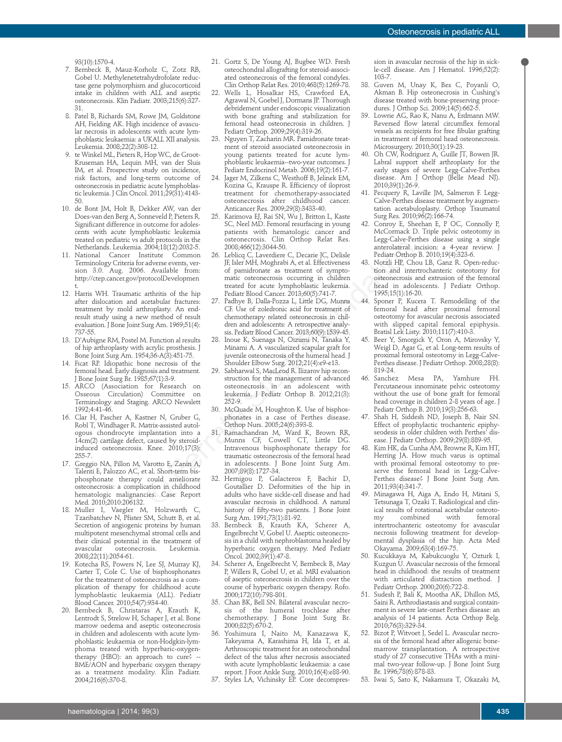93(10):1570-4.

- 7. Bernbeck B, Mauz-Korholz C, Zotz RB, Gobel U. Methylenetetrahydrofolate reductase gene polymorphism and glucocorticoid intake in children with ALL and aseptic osteonecrosis. Klin Padiatr. 2003;215(6):327- 31.
- 8. Patel B, Richards SM, Rowe JM, Goldstone AH, Fielding AK. High incidence of avascular necrosis in adolescents with acute lymphoblastic leukaemia: a UKALL XII analysis. Leukemia. 2008;22(2):308-12.
- 9. te Winkel ML, Pieters R, Hop WC, de Groot-Kruseman HA, Lequin MH, van der Sluis IM, et al. Prospective study on incidence, risk factors, and long-term outcome of osteonecrosis in pediatric acute lymphoblastic leukemia. J Clin Oncol. 2011;29(31):4143- 50.
- 10. de Bont JM, Holt B, Dekker AW, van der Does-van den Berg A, Sonneveld P, Pieters R. Significant difference in outcome for adolescents with acute lymphoblastic leukemia treated on pediatric vs adult protocols in the Netherlands. Leukemia. 2004;18(12):2032-5.
- 11. National Cancer Institute Common Terminology Criteria for adverse events, version 3.0. Aug. 2006. Available from: http://ctep.cancer.gov/protocolDevelopmen t.
- 12. Harris WH. Traumatic arthritis of the hip after dislocation and acetabular fractures: treatment by mold arthroplasty. An endresult study using a new method of result evaluation. J Bone Joint Surg Am. 1969;51(4): 737-55.
- 13. D'Aubigne RM, Postel M. Function al results of hip arthroplasty with acrylic prosthesis. J Bone Joint Surg Am. 1954;36-A(3):451-75.
- 14. Ficat RP. Idiopathic bone necrosis of the femoral head. Early diagnosis and treatment. J Bone Joint Surg Br. 1985;67(1):3-9.
- 15. ARCO (Association for Research on Osseous Circulation) Committee on Terminology and Staging. ARCO Newslett 1992;4:41-46.
- 16. Clar H, Pascher A, Kastner N, Gruber G, Robl T, Windhager R. Matrix-assisted autologous chondrocyte implantation into a 14cm(2) cartilage defect, caused by steroidinduced osteonecrosis. Knee. 2010;17(3): 255-7.
- 17. Greggio NA, Pillon M, Varotto E, Zanin A, Talenti E, Palozzo AC, et al. Short-term bisphosphonate therapy could ameliorate osteonecrosis: a complication in childhood hematologic malignancies. Case Report Med. 2010;2010:206132.
- 18. Muller I, Vaegler M, Holzwarth C, Tzaribatchev N, Pfister SM, Schutt B, et al. Secretion of angiogenic proteins by human multipotent mesenchymal stromal cells and their clinical potential in the treatment of<br>avascular osteonecrosis. Leukemia. osteonecrosis. 2008;22(11):2054-61.
- 19. Kotecha RS, Powers N, Lee SJ, Murray KJ, Carter T, Cole C. Use of bisphosphonates for the treatment of osteonecrosis as a complication of therapy for childhood acute lymphoblastic leukaemia (ALL). Pediatr Blood Cancer. 2010;54(7):934-40.
- 20. Bernbeck B, Christaras A, Krauth K, Lentrodt S, Strelow H, Schaper J, et al. Bone marrow oedema and aseptic osteonecrosis in children and adolescents with acute lymphoblastic leukaemia or non-Hodgkin-lymphoma treated with hyperbaric-oxygentherapy (HBO): an approach to cure? -- BME/AON and hyperbaric oxygen therapy as a treatment modality. Klin Padiatr. 2004;216(6):370-8.
- 21. Gortz S, De Young AJ, Bugbee WD. Fresh osteochondral allografting for steroid-associated osteonecrosis of the femoral condyles. Clin Orthop Relat Res. 2010;468(5):1269-78.
- 22. Wells L, Hosalkar HS, Crawford EA, Agrawal N, Goebel J, Dormans JP. Thorough debridement under endoscopic visualization with bone grafting and stabilization for femoral head osteonecrosis in children. J Pediatr Orthop. 2009;29(4):319-26.
- 23. Nguyen T, Zacharin MR. Pamidronate treatment of steroid associated osteonecrosis in young patients treated for acute lymphoblastic leukaemia--two-year outcomes. J Pediatr Endocrinol Metab. 2006;19(2):161-7.
- Jager M, Zilkens C, Westhoff B, Jelinek EM, Kozina G, Krauspe R. Efficiency of iloprost treatment for chemotherapy-associated osteonecrosis after childhood cancer. Anticancer Res. 2009;29(8):3433-40.
- 25. Karimova EJ, Rai SN, Wu J, Britton L, Kaste SC, Neel MD. Femoral resurfacing in young patients with hematologic cancer and osteonecrosis. Clin Orthop Relat Res. 2008;466(12):3044-50.
- 26. Leblicq C, Laverdiere C, Decarie JC, Delisle JF, Isler MH, Moghrabi A, et al. Effectiveness of pamidronate as treatment of symptomatic osteonecrosis occurring in children treated for acute lymphoblastic leukemia. Pediatr Blood Cancer. 2013;60(5):741-7. 2003, 10001<br>S2004-501 and the state of the state of the state of the state of the state of the state of parameters of the state of the state of the state of the state of the state of the state of the state of the state of
	- 27. Padhye B, Dalla-Pozza L, Little DG, Munns CF. Use of zoledronic acid for treatment of chemotherapy related osteonecrosis in children and adolescents: A retrospective analysis. Pediatr Blood Cancer. 2013;60(9):1539-45.
	- 28. Inoue K, Suenaga N, Oizumi N, Tanaka Y, Minami A. A vascularized scapular graft for juvenile osteonecrosis of the humeral head. J Shoulder Elbow Surg. 2012;21(4):e9-e13.
	- 29. Sabharwal S, MacLeod R. Ilizarov hip reconstruction for the management of advanced osteonecrosis in an adolescent with leukemia. J Pediatr Orthop B. 2012;21(3): 252-9.
	- 30. McQuade M, Houghton K. Use of bisphosphonates in a case of Perthes disease. Orthop Nurs. 2005;24(6):393-8.
	- 31. Ramachandran M, Ward K, Brown RR, Munns CF, Cowell CT, Little DG. Intravenous bisphosphonate therapy for traumatic osteonecrosis of the femoral head in adolescents. J Bone Joint Surg Am. 2007;89(8):1727-34.
	- 32. Hernigou P, Galacteros F, Bachir D, Goutallier D. Deformities of the hip in adults who have sickle-cell disease and had avascular necrosis in childhood. A natural history of fifty-two patients. J Bone Joint Surg Am. 1991;73(1):81-92.
	- 33. Bernbeck B, Krauth KA, Scherer A, Engelbrecht V, Gobel U. Aseptic osteonecrosis in a child with nephroblastoma healed by hyperbaric oxygen therapy. Med Pediatr Oncol. 2002;39(1):47-8.
	- 34. Scherer A, Engelbrecht V, Bernbeck B, May P, Willers R, Gobel U, et al. MRI evaluation of aseptic osteonecrosis in children over the course of hyperbaric oxygen therapy. Rofo. 2000;172(10):798-801.
	- 35. Chan BK, Bell SN. Bilateral avascular necrosis of the humeral trochleae after chemotherapy. J Bone Joint Surg Br. 2000;82(5):670-2.
	- 36. Yoshimura I, Naito M, Kanazawa K, Takeyama A, Karashima H, Ida T, et al. Arthroscopic treatment for an osteochondral defect of the talus after necrosis associated with acute lymphoblastic leukaemia: a case report. J Foot Ankle Surg. 2010;16(4):e88-90.
	- 37. Styles LA, Vichinsky EP. Core decompres-

sion in avascular necrosis of the hip in sickle-cell disease. Am J Hematol. 1996;52(2): 103-7.

- 38. Guven M, Unay K, Bes C, Poyanli O, Akman B. Hip osteonecrosis in Cushing's disease treated with bone-preserving procedures. J Orthop Sci. 2009;14(5):662-5.
- 39. Lowrie AG, Rao K, Nanu A, Erdmann MW. Reversed flow lateral circumflex femoral vessels as recipients for free fibular grafting in treatment of femoral head osteonecrosis. Microsurgery. 2010;30(1):19-23.
- 40. Oh CW, Rodriguez A, Guille JT, Bowen JR. Labral support shelf arthroplasty for the early stages of severe Legg-Calve-Perthes disease. Am J Orthop (Belle Mead NJ). 2010;39(1):26-9.
- 41. Pecquery R, Laville JM, Salmeron F. Legg-Calve-Perthes disease treatment by augmentation acetabuloplasty. Orthop Traumatol Surg Res. 2010;96(2):166-74.
- 42. Conroy E, Sheehan E, P OC, Connolly P, McCormack D. Triple pelvic osteotomy in Legg-Calve-Perthes disease using a single anterolateral incision: a 4-year review. J Pediatr Orthop B. 2010;19(4):323-6.
- 43. Notzli HP, Chou LB, Ganz R. Open-reduction and intertrochanteric osteotomy for osteonecrosis and extrusion of the femoral head in adolescents. J Pediatr Orthop. 1995;15(1):16-20.
- 44. Sponer P, Kucera T. Remodelling of the femoral head after proximal femoral osteotomy for avascular necrosis associated with slipped capital femoral epiphysis. Bratisl Lek Listy. 2010;111(7):410-3.
- 45. Beer Y, Smorgick Y, Oron A, Mirovsky Y, Weigl D, Agar G, et al. Long-term results of proximal femoral osteotomy in Legg-Calve-Perthes disease. J Pediatr Orthop. 2008;28(8): 819-24.
- 46. Sanchez Mesa PA, Yamhure FH. Percutaneous innominate pelvic osteotomy without the use of bone graft for femoral head coverage in children 2-8 years of age. J Pediatr Orthop B. 2010;19(3):256-63.
- 47. Shah H, Siddesh ND, Joseph B, Nair SN. Effect of prophylactic trochanteric epiphyseodesis in older children with Perthes' disease. J Pediatr Orthop. 2009;29(8):889-95.
- 48. Kim HK, da Cunha AM, Browne R, Kim HT, Herring JA. How much varus is optimal with proximal femoral osteotomy to preserve the femoral head in Legg-Calve-Perthes disease? J Bone Joint Surg Am. 2011;93(4):341-7.
- Minagawa H, Aiga A, Endo H, Mitani S, Tetsunaga T, Ozaki T. Radiological and clinical results of rotational acetabular osteotomy combined intertrochanteric osteotomy for avascular necrosis following treatment for developmental dysplasia of the hip. Acta Med Okayama. 2009;63(4):169-75.
- 50. Kucukkaya M, Kabukcuoglu Y, Ozturk I, Kuzgun U. Avascular necrosis of the femoral head in childhood: the results of treatment with articulated distraction method. J Pediatr Orthop. 2000;20(6):722-8.
- 51. Sudesh P, Bali K, Mootha AK, Dhillon MS, Saini R. Arthrodiastasis and surgical containment in severe late-onset Perthes disease: an analysis of 14 patients. Acta Orthop Belg. 2010;76(3):329-34.
- 52. Bizot P, Witvoet J, Sedel L. Avascular necrosis of the femoral head after allogenic bonemarrow transplantation. A retrospective study of 27 consecutive THAs with a minimal two-year follow-up. J Bone Joint Surg Br. 1996;78(6):878-83.
- 53. Iwai S, Sato K, Nakamura T, Okazaki M,